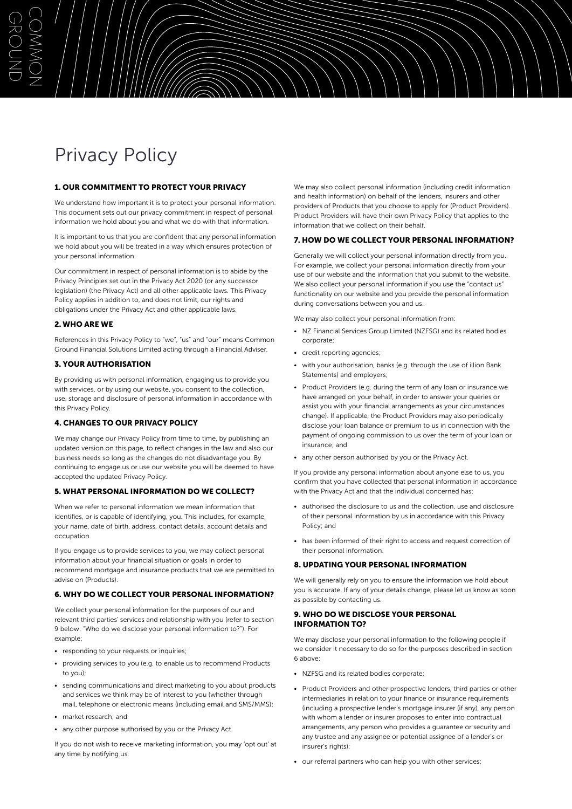# Privacy Policy

 $\bigcirc$ 

G<br>자

O<br>Z

 $\bigcup$ 

MMON

## 1. OUR COMMITMENT TO PROTECT YOUR PRIVACY

We understand how important it is to protect your personal information. This document sets out our privacy commitment in respect of personal information we hold about you and what we do with that information.

It is important to us that you are confident that any personal information we hold about you will be treated in a way which ensures protection of your personal information.

Our commitment in respect of personal information is to abide by the Privacy Principles set out in the Privacy Act 2020 (or any successor legislation) (the Privacy Act) and all other applicable laws. This Privacy Policy applies in addition to, and does not limit, our rights and obligations under the Privacy Act and other applicable laws.

### 2. WHO ARE WE

References in this Privacy Policy to "we", "us" and "our" means Common Ground Financial Solutions Limited acting through a Financial Adviser.

### 3. YOUR AUTHORISATION

By providing us with personal information, engaging us to provide you with services, or by using our website, you consent to the collection, use, storage and disclosure of personal information in accordance with this Privacy Policy.

#### 4. CHANGES TO OUR PRIVACY POLICY

We may change our Privacy Policy from time to time, by publishing an updated version on this page, to reflect changes in the law and also our business needs so long as the changes do not disadvantage you. By continuing to engage us or use our website you will be deemed to have accepted the updated Privacy Policy.

#### 5. WHAT PERSONAL INFORMATION DO WE COLLECT?

When we refer to personal information we mean information that identifies, or is capable of identifying, you. This includes, for example, your name, date of birth, address, contact details, account details and occupation.

If you engage us to provide services to you, we may collect personal information about your financial situation or goals in order to recommend mortgage and insurance products that we are permitted to advise on (Products).

## 6. WHY DO WE COLLECT YOUR PERSONAL INFORMATION?

We collect your personal information for the purposes of our and relevant third parties' services and relationship with you (refer to section 9 below: "Who do we disclose your personal information to?"). For example:

- responding to your requests or inquiries;
- providing services to you (e.g. to enable us to recommend Products to you);
- sending communications and direct marketing to you about products and services we think may be of interest to you (whether through mail, telephone or electronic means (including email and SMS/MMS);
- market research; and
- any other purpose authorised by you or the Privacy Act.

If you do not wish to receive marketing information, you may 'opt out' at any time by notifying us.

We may also collect personal information (including credit information and health information) on behalf of the lenders, insurers and other providers of Products that you choose to apply for (Product Providers). Product Providers will have their own Privacy Policy that applies to the information that we collect on their behalf.

#### 7. HOW DO WE COLLECT YOUR PERSONAL INFORMATION?

Generally we will collect your personal information directly from you. For example, we collect your personal information directly from your use of our website and the information that you submit to the website. We also collect your personal information if you use the "contact us" functionality on our website and you provide the personal information during conversations between you and us.

We may also collect your personal information from:

- NZ Financial Services Group Limited (NZFSG) and its related bodies corporate;
- credit reporting agencies;
- with your authorisation, banks (e.g. through the use of illion Bank Statements) and employers;
- Product Providers (e.g. during the term of any loan or insurance we have arranged on your behalf, in order to answer your queries or assist you with your financial arrangements as your circumstances change). If applicable, the Product Providers may also periodically disclose your loan balance or premium to us in connection with the payment of ongoing commission to us over the term of your loan or insurance; and
- any other person authorised by you or the Privacy Act.

If you provide any personal information about anyone else to us, you confirm that you have collected that personal information in accordance with the Privacy Act and that the individual concerned has:

- authorised the disclosure to us and the collection, use and disclosure of their personal information by us in accordance with this Privacy Policy; and
- has been informed of their right to access and request correction of their personal information.

#### 8. UPDATING YOUR PERSONAL INFORMATION

We will generally rely on you to ensure the information we hold about you is accurate. If any of your details change, please let us know as soon as possible by contacting us.

### 9. WHO DO WE DISCLOSE YOUR PERSONAL INFORMATION TO?

We may disclose your personal information to the following people if we consider it necessary to do so for the purposes described in section 6 above:

- NZFSG and its related bodies corporate;
- Product Providers and other prospective lenders, third parties or other intermediaries in relation to your finance or insurance requirements (including a prospective lender's mortgage insurer (if any), any person with whom a lender or insurer proposes to enter into contractual arrangements, any person who provides a guarantee or security and any trustee and any assignee or potential assignee of a lender's or insurer's rights);
- our referral partners who can help you with other services;